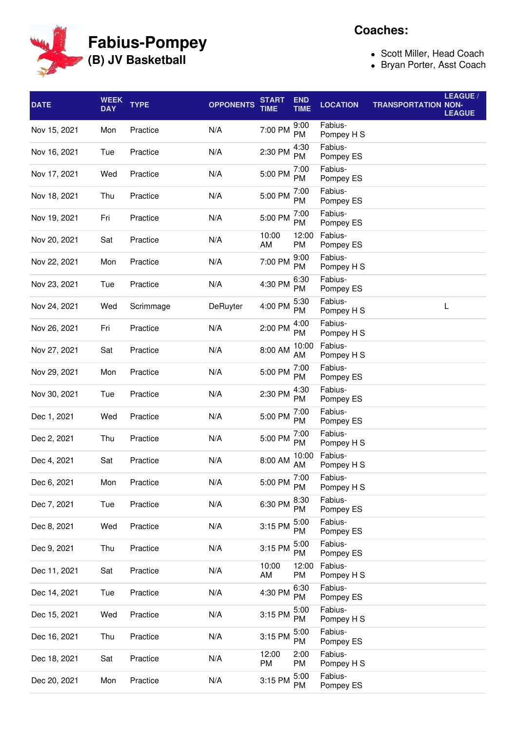

**Coaches:**

- Scott Miller, Head Coach
- Bryan Porter, Asst Coach

| <b>DATE</b>  | WEEK<br><b>DAY</b> | <b>TYPE</b> | <b>OPPONENTS</b> | START<br><b>TIME</b> | <b>END</b><br><b>TIME</b> | <b>LOCATION</b>       | <b>TRANSPORTATION NON-</b> | <b>LEAGUE/</b><br><b>LEAGUE</b> |
|--------------|--------------------|-------------|------------------|----------------------|---------------------------|-----------------------|----------------------------|---------------------------------|
| Nov 15, 2021 | Mon                | Practice    | N/A              | 7:00 PM              | 9:00<br>PM                | Fabius-<br>Pompey H S |                            |                                 |
| Nov 16, 2021 | Tue                | Practice    | N/A              | 2:30 PM              | 4:30<br>PM                | Fabius-<br>Pompey ES  |                            |                                 |
| Nov 17, 2021 | Wed                | Practice    | N/A              | 5:00 PM              | 7:00<br>PM                | Fabius-<br>Pompey ES  |                            |                                 |
| Nov 18, 2021 | Thu                | Practice    | N/A              | 5:00 PM              | 7:00<br>PM                | Fabius-<br>Pompey ES  |                            |                                 |
| Nov 19, 2021 | Fri                | Practice    | N/A              | 5:00 PM              | 7:00<br>PM                | Fabius-<br>Pompey ES  |                            |                                 |
| Nov 20, 2021 | Sat                | Practice    | N/A              | 10:00<br>AM          | 12:00<br>PM               | Fabius-<br>Pompey ES  |                            |                                 |
| Nov 22, 2021 | Mon                | Practice    | N/A              | 7:00 PM              | 9:00<br>PM                | Fabius-<br>Pompey H S |                            |                                 |
| Nov 23, 2021 | Tue                | Practice    | N/A              | 4:30 PM              | 6:30<br>PM                | Fabius-<br>Pompey ES  |                            |                                 |
| Nov 24, 2021 | Wed                | Scrimmage   | <b>DeRuyter</b>  | 4:00 PM              | 5:30<br>PM                | Fabius-<br>Pompey H S |                            | L                               |
| Nov 26, 2021 | Fri                | Practice    | N/A              | 2:00 PM              | 4:00<br>PM                | Fabius-<br>Pompey H S |                            |                                 |
| Nov 27, 2021 | Sat                | Practice    | N/A              | 8:00 AM              | 10:00<br>AM               | Fabius-<br>Pompey H S |                            |                                 |
| Nov 29, 2021 | Mon                | Practice    | N/A              | 5:00 PM              | 7:00<br>PM                | Fabius-<br>Pompey ES  |                            |                                 |
| Nov 30, 2021 | Tue                | Practice    | N/A              | 2:30 PM              | 4:30<br>PM                | Fabius-<br>Pompey ES  |                            |                                 |
| Dec 1, 2021  | Wed                | Practice    | N/A              | 5:00 PM              | 7:00<br>PM                | Fabius-<br>Pompey ES  |                            |                                 |
| Dec 2, 2021  | Thu                | Practice    | N/A              | 5:00 PM              | 7:00<br>PM                | Fabius-<br>Pompey H S |                            |                                 |
| Dec 4, 2021  | Sat                | Practice    | N/A              | 8:00 AM              | 10:00<br>AM               | Fabius-<br>Pompey H S |                            |                                 |
| Dec 6, 2021  | Mon                | Practice    | N/A              | 5:00 PM              | 7:00<br>PM                | Fabius-<br>Pompey H S |                            |                                 |
| Dec 7, 2021  | Tue                | Practice    | N/A              | 6:30 PM              | 8:30<br>PM                | Fabius-<br>Pompey ES  |                            |                                 |
| Dec 8, 2021  | Wed                | Practice    | N/A              | 3:15 PM              | 5:00<br>PM                | Fabius-<br>Pompey ES  |                            |                                 |
| Dec 9, 2021  | Thu                | Practice    | N/A              | 3:15 PM              | 5:00<br>PM                | Fabius-<br>Pompey ES  |                            |                                 |
| Dec 11, 2021 | Sat                | Practice    | N/A              | 10:00<br>AM          | 12:00<br>PM               | Fabius-<br>Pompey H S |                            |                                 |
| Dec 14, 2021 | Tue                | Practice    | N/A              | 4:30 PM              | 6:30<br>PM                | Fabius-<br>Pompey ES  |                            |                                 |
| Dec 15, 2021 | Wed                | Practice    | N/A              | 3:15 PM              | 5:00<br>PM                | Fabius-<br>Pompey H S |                            |                                 |
| Dec 16, 2021 | Thu                | Practice    | N/A              | 3:15 PM              | 5:00<br>PM                | Fabius-<br>Pompey ES  |                            |                                 |
| Dec 18, 2021 | Sat                | Practice    | N/A              | 12:00<br>PM          | 2:00<br>PM                | Fabius-<br>Pompey H S |                            |                                 |
| Dec 20, 2021 | Mon                | Practice    | N/A              | 3:15 PM              | 5:00<br>PM                | Fabius-<br>Pompey ES  |                            |                                 |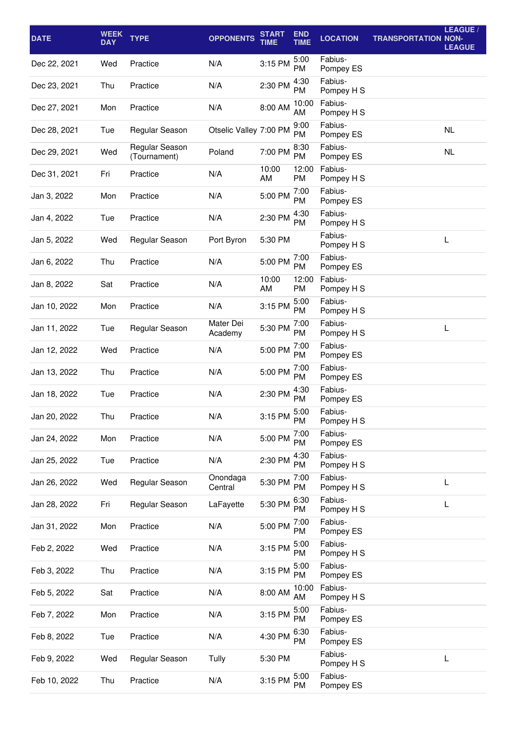| <b>DATE</b>  | <b>WEEK</b><br><b>DAY</b> | <b>TYPE</b>                    | <b>OPPONENTS</b>       | <b>START</b><br><b>TIME</b> | <b>END</b><br><b>TIME</b> | <b>LOCATION</b>       | <b>TRANSPORTATION NON-</b> | LEAGUE /<br><b>LEAGUE</b> |
|--------------|---------------------------|--------------------------------|------------------------|-----------------------------|---------------------------|-----------------------|----------------------------|---------------------------|
| Dec 22, 2021 | Wed                       | Practice                       | N/A                    | 3:15 PM                     | 5:00<br><b>PM</b>         | Fabius-<br>Pompey ES  |                            |                           |
| Dec 23, 2021 | Thu                       | Practice                       | N/A                    | 2:30 PM                     | 4:30<br>PM                | Fabius-<br>Pompey H S |                            |                           |
| Dec 27, 2021 | Mon                       | Practice                       | N/A                    | 8:00 AM                     | 10:00<br>AM               | Fabius-<br>Pompey H S |                            |                           |
| Dec 28, 2021 | Tue                       | Regular Season                 | Otselic Valley 7:00 PM |                             | 9:00<br>PM                | Fabius-<br>Pompey ES  |                            | <b>NL</b>                 |
| Dec 29, 2021 | Wed                       | Regular Season<br>(Tournament) | Poland                 | 7:00 PM                     | 8:30<br>PM                | Fabius-<br>Pompey ES  |                            | <b>NL</b>                 |
| Dec 31, 2021 | Fri                       | Practice                       | N/A                    | 10:00<br>AM                 | 12:00<br>PM               | Fabius-<br>Pompey H S |                            |                           |
| Jan 3, 2022  | Mon                       | Practice                       | N/A                    | 5:00 PM                     | 7:00<br>PM                | Fabius-<br>Pompey ES  |                            |                           |
| Jan 4, 2022  | Tue                       | Practice                       | N/A                    | 2:30 PM                     | 4:30<br>PM                | Fabius-<br>Pompey H S |                            |                           |
| Jan 5, 2022  | Wed                       | Regular Season                 | Port Byron             | 5:30 PM                     |                           | Fabius-<br>Pompey H S |                            | L                         |
| Jan 6, 2022  | Thu                       | Practice                       | N/A                    | 5:00 PM                     | 7:00<br>PM                | Fabius-<br>Pompey ES  |                            |                           |
| Jan 8, 2022  | Sat                       | Practice                       | N/A                    | 10:00<br>AM                 | 12:00<br>PM               | Fabius-<br>Pompey H S |                            |                           |
| Jan 10, 2022 | Mon                       | Practice                       | N/A                    | 3:15 PM                     | 5:00<br>PM                | Fabius-<br>Pompey H S |                            |                           |
| Jan 11, 2022 | Tue                       | Regular Season                 | Mater Dei<br>Academy   | 5:30 PM                     | 7:00<br>PM                | Fabius-<br>Pompey H S |                            | L                         |
| Jan 12, 2022 | Wed                       | Practice                       | N/A                    | 5:00 PM                     | 7:00<br>PM                | Fabius-<br>Pompey ES  |                            |                           |
| Jan 13, 2022 | Thu                       | Practice                       | N/A                    | 5:00 PM                     | 7:00<br>PM                | Fabius-<br>Pompey ES  |                            |                           |
| Jan 18, 2022 | Tue                       | Practice                       | N/A                    | 2:30 PM                     | 4:30<br>PM                | Fabius-<br>Pompey ES  |                            |                           |
| Jan 20, 2022 | Thu                       | Practice                       | N/A                    | 3:15 PM                     | 5:00<br><b>PM</b>         | Fabius-<br>Pompey H S |                            |                           |
| Jan 24, 2022 | Mon                       | Practice                       | N/A                    | 5:00 PM                     | 7:00<br>PM                | Fabius-<br>Pompey ES  |                            |                           |
| Jan 25, 2022 | Tue                       | Practice                       | N/A                    | 2:30 PM                     | 4:30<br>PM                | Fabius-<br>Pompey H S |                            |                           |
| Jan 26, 2022 | Wed                       | Regular Season                 | Onondaga<br>Central    | 5:30 PM                     | 7:00<br>PM                | Fabius-<br>Pompey H S |                            | L                         |
| Jan 28, 2022 | Fri                       | Regular Season                 | LaFayette              | 5:30 PM                     | 6:30<br>PM                | Fabius-<br>Pompey H S |                            | L                         |
| Jan 31, 2022 | Mon                       | Practice                       | N/A                    | 5:00 PM                     | 7:00<br>PM                | Fabius-<br>Pompey ES  |                            |                           |
| Feb 2, 2022  | Wed                       | Practice                       | N/A                    | 3:15 PM                     | 5:00<br>PM                | Fabius-<br>Pompey H S |                            |                           |
| Feb 3, 2022  | Thu                       | Practice                       | N/A                    | 3:15 PM                     | 5:00<br>PM                | Fabius-<br>Pompey ES  |                            |                           |
| Feb 5, 2022  | Sat                       | Practice                       | N/A                    | 8:00 AM                     | 10:00<br>AM               | Fabius-<br>Pompey H S |                            |                           |
| Feb 7, 2022  | Mon                       | Practice                       | N/A                    | 3:15 PM                     | 5:00<br>PM                | Fabius-<br>Pompey ES  |                            |                           |
| Feb 8, 2022  | Tue                       | Practice                       | N/A                    | 4:30 PM                     | 6:30<br>PM                | Fabius-<br>Pompey ES  |                            |                           |
| Feb 9, 2022  | Wed                       | Regular Season                 | Tully                  | 5:30 PM                     |                           | Fabius-<br>Pompey H S |                            | L                         |
| Feb 10, 2022 | Thu                       | Practice                       | N/A                    | 3:15 PM                     | 5:00<br>PM                | Fabius-<br>Pompey ES  |                            |                           |